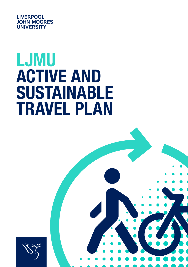

# LJMU ACTIVE AND SUSTAINABLE TRAVEL PLAN



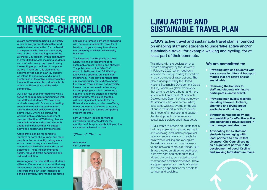## A MESSAGE FROM THE VICE-CHANCELLOR

We are committed to being a university which actively promotes healthier and sustainable communities, for the benefit of the people who live, work and study here. LJMU is the beating heart of the Liverpool City Region, with a community of over 30,000 people including students and staff who every day travel to enjoy the exciting opportunities of the place we live. Therefore, this plan and the accompanying action plan lay out how we intend to encourage and support greater use of the active and sustainable travel options available to all of us, both within the University, and the wider community.

Our plan has been informed following a series of engagement opportunities with our staff and students. We have also worked closely with Sustrans, a leading sustainable travel charity that inform local and national policies regarding active travel. By linking our hybrid working policy, carbon management plan and Health and Wellbeing plan, we are able to offer our staff and students a range of initiatives that will support active and sustainable travel choices.

Active travel can be for complete journeys or parts of a journey, and more people in the community making more active travel journeys can lead to a range of positive individual and shared outcomes. These include improved health, reduced traffic congestion and reduced pollution.

We recognise that our staff and students all have different circumstances that may influence our choices in modes of travel. Therefore this plan is not intended to penalise anyone, rather that it promotes

and aims to remove barriers to engaging with active or sustainable travel for at least part of your journey to and from the University or whilst on University business.

The Liverpool City Region is at a key juncture in the development of its sustainable travel thinking and strategy. The publication of the Bike First report in 2020, and the LCR Walking and Cycling strategy, are significant milestones. These developments offer a real opportunity for LJMU to change the way we travel and we, as University, have an important role in advocating for and playing our role in delivering a healthier and more sustainable travel infrastructure. We believe that this will have significant benefits for the University, our staff, students – offering better connected and more attractive, city campuses and a more compelling student life offer.

I am very much looking forward to us working together to deliver the ambitions of this plan and building on the successes achieved to date.



Mark Power Vice-Chancellor



### LJMU ACTIVE AND SUSTAINABLE TRAVEL PLAN

LJMU's active travel and sustainable travel plan is founded on enabling staff and students to undertake active and/or sustainable travel, for example walking and cycling, for at least part of their commute.

This aligns with the declaration of a climate emergency by the University in February 2020, which requires a renewed focus on providing low carbon and carbon neutral travel options. The plan is underpinned by the United Nations Sustainable Development Goals (SDGs), which is a global framework that aims to achieve a better and more sustainable future for all. Sustainable Development Goal 11 of this framework (Sustainable cities and communities) advocates walking, cycling or the use of public transport in order to reduce the impact of air pollution and support the development of adequate and sustainable services and infrastructure.

LJMU wants to provide an Estate that is built for people, which promotes health and wellbeing, and makes people feel safe and secure. We aim to reach the point where walking and cycling are the natural choices for most journeys to and between campus buildings. Our Estate creates an attractive destination in its own right and contributes to a vibrant city centre, connected to local communities and their amenities. There are green spaces and plenty of seating and resting opportunities for people to connect and socialise.

#### We are committed to:

- Providing staff and students with easy access to different transport modes that are active and/or sustainable.
- Removing the barriers to staff and students wishing to participate in active travel.
- Providing high quality facilities including showers, lockers, changing and drying areas available in all buildings.
- Strengthen responsibility and accountability for effective active and sustainable travel support in the management structure
- Advocating for its staff and students by engaging with local partners to ensure that Liverpool City Council see us as a significant partner in the development of Local Cycling and Walking Infrastructure Plans.

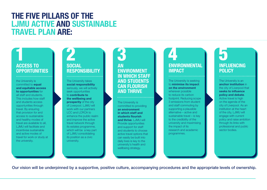### THE FIVE PILLARS OF THE LJMU ACTIVE AND SUSTAINABLE TRAVEL PLAN ARE:

#### ACCESS TO **OPPORTUNITIES**

the University is committed to **equal** and equitable access to opportunities for all staff and students. This includes how staff and students access opportunities through travel. By ensuring that provision for and access to sustainable and healthy modes of travel are available to all, LJMU will facilitate and incentivise sustainable and active modes of travel for work or study at the university.

### 1 2 **SOCIAL RESPONSIBILITY**

The University takes social responsibility seriously, we will actively seek opportunities to contribute to the wellbeing and prosperity of the city of Liverpool. LJMU will work with our partners LCC and LCRCA to enhance the public realm and improve the active travel network through its estates programme, which will be a key part of LJMU consolidating its position as a civic university.

### 3 AN ENVIRONMENT IN WHICH STAFF AND STUDENTS CAN FLOURISH AND THRIVE

The University is committed to providing an environment in which staff and students flourish and thrive. LJMU will Provide opportunities and support for staff and students to choose active travel options that can easily be built into daily lives is key to the university's health and wellbeing strategy.

### 4 **ENVIRONMENTAL** IMPACT

The University is seeking to minimise its impact on the environment wherever possible to reduce its carbon footprint. Reducing scope 3 emissions from student and staff commuting by supporting a plausible alternative – active and sustainable travel – is key to the credibility of the university and maximising the impact of its research and academic programmes.

### 5 INFLUENCING POLICY

The University is an anchor institution in the city of Liverpool that seeks to influence policy and debate. Active travel is high on the agenda of the city of Liverpool. As an institution at the heart of the city, LJMU will engage with current policy and raise ambition through its links with professional and public sector bodies.

Our vision will be underpinned by a supportive, positive culture, accompanying procedures and the appropriate levels of ownership.